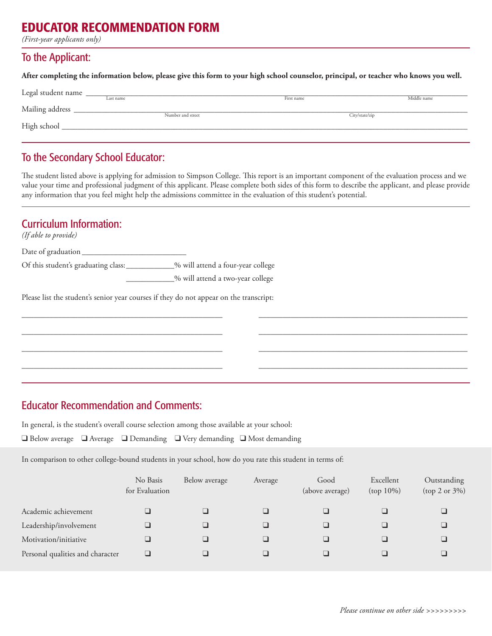# EDUCATOR RECOMMENDATION FORM

*(First-year applicants only)*

#### To the Applicant:

**After completing the information below, please give this form to your high school counselor, principal, or teacher who knows you well.**

| Legal student name |                   |            |                |  |  |  |
|--------------------|-------------------|------------|----------------|--|--|--|
|                    | Last name         | First name | Middle name    |  |  |  |
| Mailing address    |                   |            |                |  |  |  |
|                    | Number and street |            | City/state/zip |  |  |  |
| High school        |                   |            |                |  |  |  |
|                    |                   |            |                |  |  |  |

## To the Secondary School Educator:

The student listed above is applying for admission to Simpson College. This report is an important component of the evaluation process and we value your time and professional judgment of this applicant. Please complete both sides of this form to describe the applicant, and please provide any information that you feel might help the admissions committee in the evaluation of this student's potential.

\_\_\_\_\_\_\_\_\_\_\_\_\_\_\_\_\_\_\_\_\_\_\_\_\_\_\_\_\_\_\_\_\_\_\_\_\_\_\_\_\_\_\_\_\_\_\_\_\_\_ \_\_\_\_\_\_\_\_\_\_\_\_\_\_\_\_\_\_\_\_\_\_\_\_\_\_\_\_\_\_\_\_\_\_\_\_\_\_\_\_\_\_\_\_\_\_\_\_\_\_\_\_

\_\_\_\_\_\_\_\_\_\_\_\_\_\_\_\_\_\_\_\_\_\_\_\_\_\_\_\_\_\_\_\_\_\_\_\_\_\_\_\_\_\_\_\_\_\_\_\_\_\_ \_\_\_\_\_\_\_\_\_\_\_\_\_\_\_\_\_\_\_\_\_\_\_\_\_\_\_\_\_\_\_\_\_\_\_\_\_\_\_\_\_\_\_\_\_\_\_\_\_\_\_\_

\_\_\_\_\_\_\_\_\_\_\_\_\_\_\_\_\_\_\_\_\_\_\_\_\_\_\_\_\_\_\_\_\_\_\_\_\_\_\_\_\_\_\_\_\_\_\_\_\_\_ \_\_\_\_\_\_\_\_\_\_\_\_\_\_\_\_\_\_\_\_\_\_\_\_\_\_\_\_\_\_\_\_\_\_\_\_\_\_\_\_\_\_\_\_\_\_\_\_\_\_\_\_

\_\_\_\_\_\_\_\_\_\_\_\_\_\_\_\_\_\_\_\_\_\_\_\_\_\_\_\_\_\_\_\_\_\_\_\_\_\_\_\_\_\_\_\_\_\_\_\_\_\_ \_\_\_\_\_\_\_\_\_\_\_\_\_\_\_\_\_\_\_\_\_\_\_\_\_\_\_\_\_\_\_\_\_\_\_\_\_\_\_\_\_\_\_\_\_\_\_\_\_\_\_\_

# Curriculum Information:

*(If able to provide)*

Date of graduation \_\_\_\_\_\_\_\_\_\_\_\_\_\_\_\_\_\_\_\_\_\_\_\_\_\_ Of this student's graduating class:\_\_\_\_\_\_\_\_\_\_\_\_% will attend a four-year college

\_\_\_\_\_\_\_\_\_\_\_\_% will attend a two-year college

Please list the student's senior year courses if they do not appear on the transcript:

## Educator Recommendation and Comments:

In general, is the student's overall course selection among those available at your school:

❑ Below average ❑ Average ❑ Demanding ❑ Very demanding ❑ Most demanding

In comparison to other college-bound students in your school, how do you rate this student in terms of:

|                                  | No Basis<br>for Evaluation | Below average | Average | Good<br>(above average) | Excellent<br>$(top 10\%)$ | Outstanding<br>(top 2 or 3%) |
|----------------------------------|----------------------------|---------------|---------|-------------------------|---------------------------|------------------------------|
| Academic achievement             |                            |               |         |                         |                           |                              |
| Leadership/involvement           |                            |               |         |                         |                           |                              |
| Motivation/initiative            |                            |               |         |                         |                           |                              |
| Personal qualities and character |                            |               |         |                         |                           |                              |